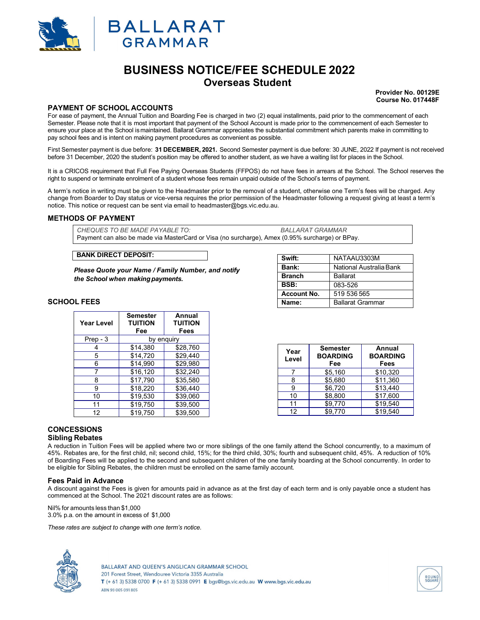



# **BUSINESS NOTICE/FEE SCHEDULE 2022 Overseas Student**

**Provider No. 00129E Course No. 017448F**

## **PAYMENT OF SCHOOL ACCOUNTS**

For ease of payment, the Annual Tuition and Boarding Fee is charged in two (2) equal installments, paid prior to the commencement of each Semester. Please note that it is most important that payment of the School Account is made prior to the commencement of each Semester to ensure your place at the School is maintained. Ballarat Grammar appreciates the substantial commitment which parents make in committing to pay school fees and is intent on making payment procedures as convenient as possible.

First Semester payment is due before: **31 DECEMBER, 2021.** Second Semester payment is due before: 30 JUNE, 2022 If payment is not received before 31 December, 2020 the student's position may be offered to another student, as we have a waiting list for places in the School.

It is a CRICOS requirement that Full Fee Paying Overseas Students (FFPOS) do not have fees in arrears at the School. The School reserves the right to suspend or terminate enrolment of a student whose fees remain unpaid outside of the School's terms of payment.

A term's notice in writing must be given to the Headmaster prior to the removal of a student, otherwise one Term's fees will be charged. Any change from Boarder to Day status or vice-versa requires the prior permission of the Headmaster following a request giving at least a term's notice. This notice or request can be sent via email to headmaster@bgs.vic.edu.au.

## **METHODS OF PAYMENT**

*CHEQUES TO BE MADE PAYABLE TO: BALLARAT GRAMMAR* Payment can also be made via MasterCard or Visa (no surcharge), Amex (0.95% surcharge) or BPay.

## **BANK DIRECT DEPOSIT:**

*Please Quote your Name / Family Number, and notify the School when making payments.*

## **SCHOOL FEES**

| Year Level | Semester<br><b>TUITION</b><br>Fee | Annual<br><b>TUITION</b><br>Fees |
|------------|-----------------------------------|----------------------------------|
| Prep - 3   | by enguiry                        |                                  |
|            | \$14.380                          | \$28,760                         |
| 5          | \$14,720                          | \$29,440                         |
| 6          | \$14.990                          | \$29,980                         |
|            | \$16,120                          | \$32,240                         |
| 8          | \$17,790                          | \$35,580                         |
| 9          | \$18,220                          | \$36,440                         |
| 10         | \$19.530                          | \$39.060                         |
| 11         | \$19,750                          | \$39,500                         |
| 12         | \$19,750                          | \$39,500                         |

| Name:              | <b>Ballarat Grammar</b> |  |
|--------------------|-------------------------|--|
| <b>Account No.</b> | 519 536 565             |  |
| BSB:               | 083-526                 |  |
| <b>Branch</b>      | <b>Ballarat</b>         |  |
| Bank:              | National Australia Bank |  |
| Swift:             | NATAAU3303M             |  |

| Year<br>Level | <b>Semester</b><br><b>BOARDING</b><br>Fee | Annual<br><b>BOARDING</b><br>Fees |
|---------------|-------------------------------------------|-----------------------------------|
|               | \$5,160                                   | \$10,320                          |
| 8             | \$5.680                                   | \$11,360                          |
|               | \$6,720                                   | \$13,440                          |
| 10            | \$8,800                                   | \$17,600                          |
| 11            | \$9,770                                   | \$19,540                          |
| 12            | \$9.770                                   | \$19.540                          |

## **CONCESSIONS**

## **Sibling Rebates**

A reduction in Tuition Fees will be applied where two or more siblings of the one family attend the School concurrently, to a maximum of 45%. Rebates are, for the first child, nil; second child, 15%; for the third child, 30%; fourth and subsequent child, 45%. A reduction of 10% of Boarding Fees will be applied to the second and subsequent children of the one family boarding at the School concurrently. In order to be eligible for Sibling Rebates, the children must be enrolled on the same family account.

#### **Fees Paid in Advance**

A discount against the Fees is given for amounts paid in advance as at the first day of each term and is only payable once a student has commenced at the School. The 2021 discount rates are as follows:

Nil% for amounts less than \$1,000 3.0% p.a. on the amount in excess of \$1,000

*These rates are subject to change with one term's notice.*